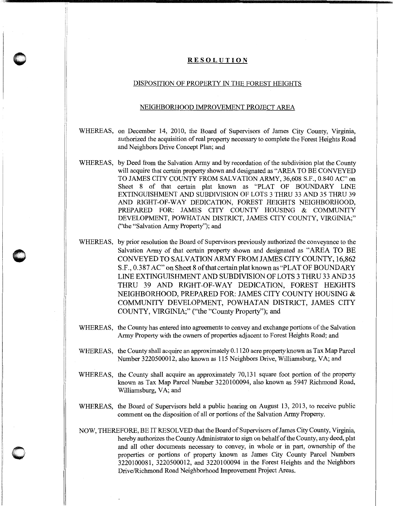## **RESOLUTION**

**0** '

**0** 

## DISPOSITION OF PROPERTY IN THE FOREST HEIGHTS

## NEIGHBORHOOD IMPROVEMENT PROJECT AREA

- WHEREAS, on December 14, 2010, the Board of Supervisors of James City County, Virginia, authorized the acquisition of real property necessary to complete the Forest Heights Road and Neighbors Drive Concept Plan; and
- WHEREAS, by Deed from the Salvation Army and by recordation of the subdivision plat the County will acquire that certain property shown and designated as "AREA TO BE CONVEYED TO JAMES CITY COUNTY FROM SALVATION ARMY, 36,608 S.F., 0.840 AC" on Sheet 8 of that certain plat known as "PLAT OF BOUNDARY LINE EXTINGUISHMENT AND SUBDIVISION OF LOTS 3 THRU 33 AND 35 THRU 39 AND RIGHT-OF-WAY DEDICATION, FOREST HEIGHTS NEIGHBORHOOD, PREPARED FOR: JAMES CITY COUNTY HOUSING & COMMUNITY DEVELOPMENT, POWHATAN DISTRICT, JAMES CITY COUNTY, VIRGINIA;" ("the "Salvation Army Property''); and
- WHEREAS, by prior resolution the Board of Supervisors previously authorized the conveyance to the Salvation Army of that certain property shown and designated as "AREA TO BE CONVEYED TO SALVATION ARMY FROM JAMES CITY COUNTY, 16,862 S.F., 0.387 AC" on Sheet 8 of that certain plat known as "PLAT OF BOUNDARY" LINE EXTINGUISHMENT AND SUBDIVISION OF LOTS 3 THRU 33 AND 35 THRU 39 AND RIGHT-OF-WAY DEDICATION, FOREST HEIGHTS NEIGHBORHOOD, PREPARED FOR: JAMES CITY COUNTY HOUSING & COMMUNITY DEVELOPMENT, POWHATAN DISTRICT, JAMES CITY COUNTY, VIRGINIA;" ("the "County Property"); and
- WHEREAS, the County has entered into agreements to convey and exchange portions of the Salvation Army Property with the owners of properties adjacent to Forest Heights Road; and
- WHEREAS, the County shall acquire an approximately 0.1120 acre property known as Tax Map Parcel Number 3220500012, also known as 115 Neighbors Drive, Williamsburg, VA; and
- WHEREAS, the County shall acquire an approximately 70,131 square foot portion of the property known as Tax Map Parcel Number 3220100094, also known as 5947 Richmond Road, Williamsburg, VA; and
- WHEREAS, the Board of Supervisors held a public hearing on August 13, 2013, to receive public comment on the disposition of all or portions of the Salvation Army Property.
- NOW, THEREFORE, BE IT RESOLVED that the Board of Supervisors of James City County, Virginia, hereby authorizes the County Administrator to sign on behalf of the County, any deed, plat and all other documents necessary to convey, in whole or in part, ownership of the properties or portions of property known as James City County Parcel Numbers 3220100081, 3220500012, and 3220100094 in the Forest Heights and the Neighbors Drive/Richmond Road Neighborhood Improvement Project Areas.